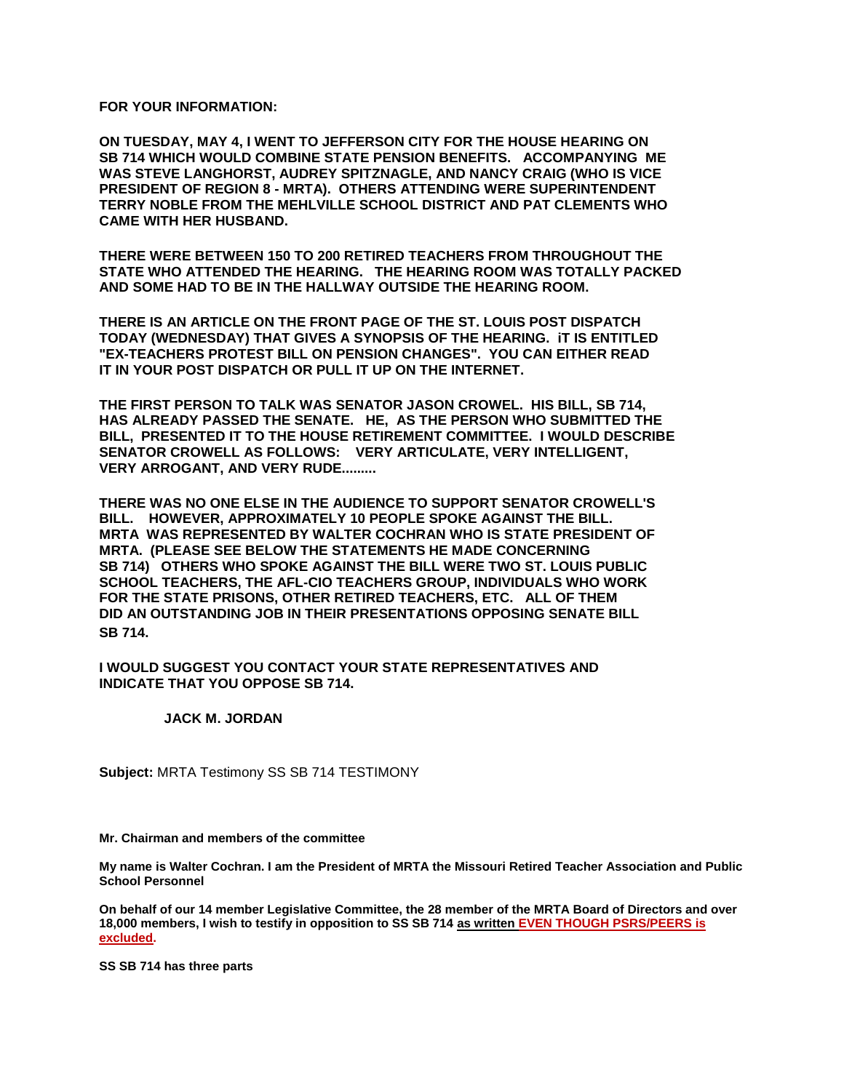**FOR YOUR INFORMATION:** 

**ON TUESDAY, MAY 4, I WENT TO JEFFERSON CITY FOR THE HOUSE HEARING ON SB 714 WHICH WOULD COMBINE STATE PENSION BENEFITS. ACCOMPANYING ME WAS STEVE LANGHORST, AUDREY SPITZNAGLE, AND NANCY CRAIG (WHO IS VICE PRESIDENT OF REGION 8 - MRTA). OTHERS ATTENDING WERE SUPERINTENDENT TERRY NOBLE FROM THE MEHLVILLE SCHOOL DISTRICT AND PAT CLEMENTS WHO CAME WITH HER HUSBAND.**

**THERE WERE BETWEEN 150 TO 200 RETIRED TEACHERS FROM THROUGHOUT THE STATE WHO ATTENDED THE HEARING. THE HEARING ROOM WAS TOTALLY PACKED AND SOME HAD TO BE IN THE HALLWAY OUTSIDE THE HEARING ROOM.** 

**THERE IS AN ARTICLE ON THE FRONT PAGE OF THE ST. LOUIS POST DISPATCH TODAY (WEDNESDAY) THAT GIVES A SYNOPSIS OF THE HEARING. iT IS ENTITLED "EX-TEACHERS PROTEST BILL ON PENSION CHANGES". YOU CAN EITHER READ IT IN YOUR POST DISPATCH OR PULL IT UP ON THE INTERNET.**

**THE FIRST PERSON TO TALK WAS SENATOR JASON CROWEL. HIS BILL, SB 714, HAS ALREADY PASSED THE SENATE. HE, AS THE PERSON WHO SUBMITTED THE BILL, PRESENTED IT TO THE HOUSE RETIREMENT COMMITTEE. I WOULD DESCRIBE SENATOR CROWELL AS FOLLOWS: VERY ARTICULATE, VERY INTELLIGENT, VERY ARROGANT, AND VERY RUDE.........**

**THERE WAS NO ONE ELSE IN THE AUDIENCE TO SUPPORT SENATOR CROWELL'S BILL. HOWEVER, APPROXIMATELY 10 PEOPLE SPOKE AGAINST THE BILL. MRTA WAS REPRESENTED BY WALTER COCHRAN WHO IS STATE PRESIDENT OF MRTA. (PLEASE SEE BELOW THE STATEMENTS HE MADE CONCERNING SB 714) OTHERS WHO SPOKE AGAINST THE BILL WERE TWO ST. LOUIS PUBLIC SCHOOL TEACHERS, THE AFL-CIO TEACHERS GROUP, INDIVIDUALS WHO WORK FOR THE STATE PRISONS, OTHER RETIRED TEACHERS, ETC. ALL OF THEM DID AN OUTSTANDING JOB IN THEIR PRESENTATIONS OPPOSING SENATE BILL SB 714.**

## **I WOULD SUGGEST YOU CONTACT YOUR STATE REPRESENTATIVES AND INDICATE THAT YOU OPPOSE SB 714.**

## **JACK M. JORDAN**

**Subject:** MRTA Testimony SS SB 714 TESTIMONY

**Mr. Chairman and members of the committee**

**My name is Walter Cochran. I am the President of MRTA the Missouri Retired Teacher Association and Public School Personnel**

**On behalf of our 14 member Legislative Committee, the 28 member of the MRTA Board of Directors and over 18,000 members, I wish to testify in opposition to SS SB 714 as written EVEN THOUGH PSRS/PEERS is excluded.**

**SS SB 714 has three parts**